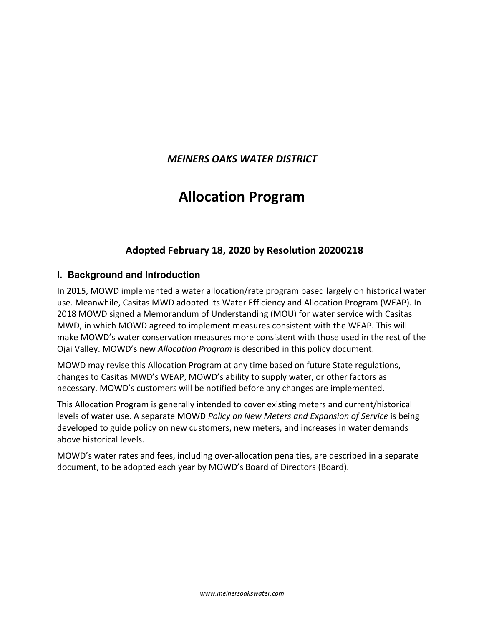# *MEINERS OAKS WATER DISTRICT*

# **Allocation Program**

# **Adopted February 18, 2020 by Resolution 20200218**

# **I. Background and Introduction**

In 2015, MOWD implemented a water allocation/rate program based largely on historical water use. Meanwhile, Casitas MWD adopted its Water Efficiency and Allocation Program (WEAP). In 2018 MOWD signed a Memorandum of Understanding (MOU) for water service with Casitas MWD, in which MOWD agreed to implement measures consistent with the WEAP. This will make MOWD's water conservation measures more consistent with those used in the rest of the Ojai Valley. MOWD's new *Allocation Program* is described in this policy document.

MOWD may revise this Allocation Program at any time based on future State regulations, changes to Casitas MWD's WEAP, MOWD's ability to supply water, or other factors as necessary. MOWD's customers will be notified before any changes are implemented.

This Allocation Program is generally intended to cover existing meters and current/historical levels of water use. A separate MOWD *Policy on New Meters and Expansion of Service* is being developed to guide policy on new customers, new meters, and increases in water demands above historical levels.

MOWD's water rates and fees, including over-allocation penalties, are described in a separate document, to be adopted each year by MOWD's Board of Directors (Board).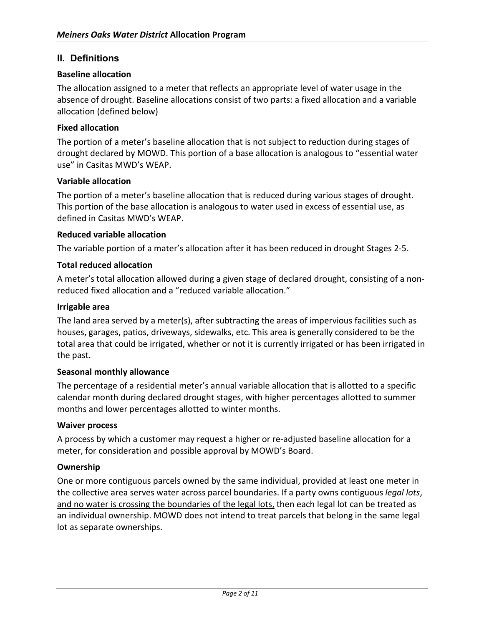# **II. Definitions**

### **Baseline allocation**

The allocation assigned to a meter that reflects an appropriate level of water usage in the absence of drought. Baseline allocations consist of two parts: a fixed allocation and a variable allocation (defined below)

### **Fixed allocation**

The portion of a meter's baseline allocation that is not subject to reduction during stages of drought declared by MOWD. This portion of a base allocation is analogous to "essential water use" in Casitas MWD's WEAP.

#### **Variable allocation**

The portion of a meter's baseline allocation that is reduced during various stages of drought. This portion of the base allocation is analogous to water used in excess of essential use, as defined in Casitas MWD's WEAP.

#### **Reduced variable allocation**

The variable portion of a mater's allocation after it has been reduced in drought Stages 2-5.

#### **Total reduced allocation**

A meter's total allocation allowed during a given stage of declared drought, consisting of a nonreduced fixed allocation and a "reduced variable allocation."

#### **Irrigable area**

The land area served by a meter(s), after subtracting the areas of impervious facilities such as houses, garages, patios, driveways, sidewalks, etc. This area is generally considered to be the total area that could be irrigated, whether or not it is currently irrigated or has been irrigated in the past.

#### **Seasonal monthly allowance**

The percentage of a residential meter's annual variable allocation that is allotted to a specific calendar month during declared drought stages, with higher percentages allotted to summer months and lower percentages allotted to winter months.

#### **Waiver process**

A process by which a customer may request a higher or re-adjusted baseline allocation for a meter, for consideration and possible approval by MOWD's Board.

#### **Ownership**

One or more contiguous parcels owned by the same individual, provided at least one meter in the collective area serves water across parcel boundaries. If a party owns contiguous *legal lots*, and no water is crossing the boundaries of the legal lots, then each legal lot can be treated as an individual ownership. MOWD does not intend to treat parcels that belong in the same legal lot as separate ownerships.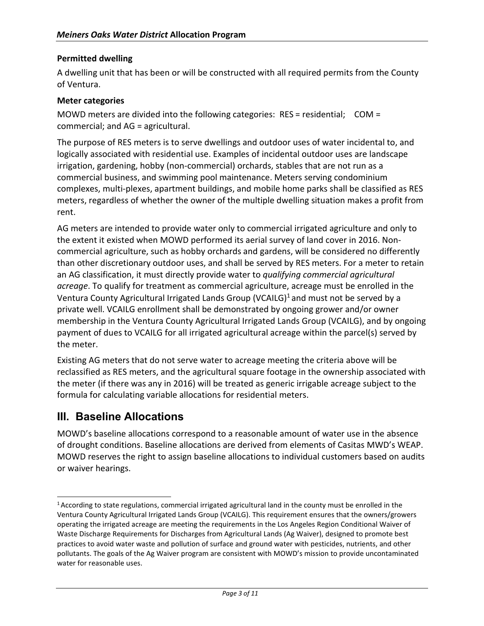### **Permitted dwelling**

A dwelling unit that has been or will be constructed with all required permits from the County of Ventura.

#### **Meter categories**

MOWD meters are divided into the following categories: RES = residential; COM = commercial; and AG = agricultural.

The purpose of RES meters is to serve dwellings and outdoor uses of water incidental to, and logically associated with residential use. Examples of incidental outdoor uses are landscape irrigation, gardening, hobby (non-commercial) orchards, stables that are not run as a commercial business, and swimming pool maintenance. Meters serving condominium complexes, multi-plexes, apartment buildings, and mobile home parks shall be classified as RES meters, regardless of whether the owner of the multiple dwelling situation makes a profit from rent.

AG meters are intended to provide water only to commercial irrigated agriculture and only to the extent it existed when MOWD performed its aerial survey of land cover in 2016. Noncommercial agriculture, such as hobby orchards and gardens, will be considered no differently than other discretionary outdoor uses, and shall be served by RES meters. For a meter to retain an AG classification, it must directly provide water to *qualifying commercial agricultural acreage*. To qualify for treatment as commercial agriculture, acreage must be enrolled in the Ventura County Agricultural Irrigated Lands Group (VCAILG)<sup>1</sup> and must not be served by a private well. VCAILG enrollment shall be demonstrated by ongoing grower and/or owner membership in the Ventura County Agricultural Irrigated Lands Group (VCAILG), and by ongoing payment of dues to VCAILG for all irrigated agricultural acreage within the parcel(s) served by the meter.

Existing AG meters that do not serve water to acreage meeting the criteria above will be reclassified as RES meters, and the agricultural square footage in the ownership associated with the meter (if there was any in 2016) will be treated as generic irrigable acreage subject to the formula for calculating variable allocations for residential meters.

# **III. Baseline Allocations**

MOWD's baseline allocations correspond to a reasonable amount of water use in the absence of drought conditions. Baseline allocations are derived from elements of Casitas MWD's WEAP. MOWD reserves the right to assign baseline allocations to individual customers based on audits or waiver hearings.

<sup>1</sup> According to state regulations, commercial irrigated agricultural land in the county must be enrolled in the Ventura County Agricultural Irrigated Lands Group (VCAILG). This requirement ensures that the owners/growers operating the irrigated acreage are meeting the requirements in the Los Angeles Region Conditional Waiver of Waste Discharge Requirements for Discharges from Agricultural Lands (Ag Waiver), designed to promote best practices to avoid water waste and pollution of surface and ground water with pesticides, nutrients, and other pollutants. The goals of the Ag Waiver program are consistent with MOWD's mission to provide uncontaminated water for reasonable uses.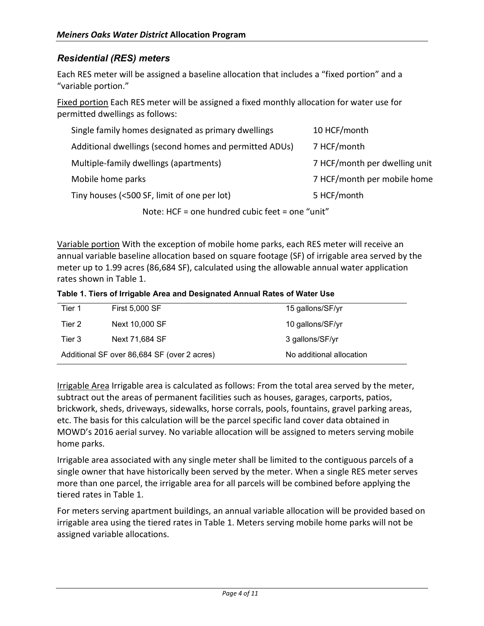# *Residential (RES) meters*

Each RES meter will be assigned a baseline allocation that includes a "fixed portion" and a "variable portion."

Fixed portion Each RES meter will be assigned a fixed monthly allocation for water use for permitted dwellings as follows:

| Single family homes designated as primary dwellings    | 10 HCF/month                  |  |  |  |  |  |  |
|--------------------------------------------------------|-------------------------------|--|--|--|--|--|--|
| Additional dwellings (second homes and permitted ADUs) | 7 HCF/month                   |  |  |  |  |  |  |
| Multiple-family dwellings (apartments)                 | 7 HCF/month per dwelling unit |  |  |  |  |  |  |
| Mobile home parks                                      | 7 HCF/month per mobile home   |  |  |  |  |  |  |
| Tiny houses (<500 SF, limit of one per lot)            | 5 HCF/month                   |  |  |  |  |  |  |
| Note: HCF = one hundred cubic feet = one "unit"        |                               |  |  |  |  |  |  |

Variable portion With the exception of mobile home parks, each RES meter will receive an annual variable baseline allocation based on square footage (SF) of irrigable area served by the meter up to 1.99 acres (86,684 SF), calculated using the allowable annual water application rates shown in Table 1.

**Table 1. Tiers of Irrigable Area and Designated Annual Rates of Water Use**

| Tier 1 | <b>First 5,000 SF</b>                       | 15 gallons/SF/yr         |
|--------|---------------------------------------------|--------------------------|
| Tier 2 | Next 10,000 SF                              | 10 gallons/SF/yr         |
| Tier 3 | Next 71,684 SF                              | 3 gallons/SF/yr          |
|        | Additional SF over 86,684 SF (over 2 acres) | No additional allocation |

Irrigable Area Irrigable area is calculated as follows: From the total area served by the meter, subtract out the areas of permanent facilities such as houses, garages, carports, patios, brickwork, sheds, driveways, sidewalks, horse corrals, pools, fountains, gravel parking areas, etc. The basis for this calculation will be the parcel specific land cover data obtained in MOWD's 2016 aerial survey. No variable allocation will be assigned to meters serving mobile home parks.

Irrigable area associated with any single meter shall be limited to the contiguous parcels of a single owner that have historically been served by the meter. When a single RES meter serves more than one parcel, the irrigable area for all parcels will be combined before applying the tiered rates in Table 1.

For meters serving apartment buildings, an annual variable allocation will be provided based on irrigable area using the tiered rates in Table 1. Meters serving mobile home parks will not be assigned variable allocations.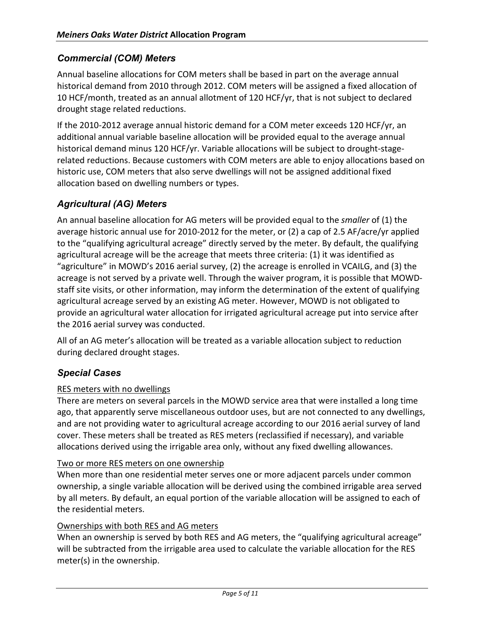# *Commercial (COM) Meters*

Annual baseline allocations for COM meters shall be based in part on the average annual historical demand from 2010 through 2012. COM meters will be assigned a fixed allocation of 10 HCF/month, treated as an annual allotment of 120 HCF/yr, that is not subject to declared drought stage related reductions.

If the 2010-2012 average annual historic demand for a COM meter exceeds 120 HCF/yr, an additional annual variable baseline allocation will be provided equal to the average annual historical demand minus 120 HCF/yr. Variable allocations will be subject to drought-stagerelated reductions. Because customers with COM meters are able to enjoy allocations based on historic use, COM meters that also serve dwellings will not be assigned additional fixed allocation based on dwelling numbers or types.

# *Agricultural (AG) Meters*

An annual baseline allocation for AG meters will be provided equal to the *smaller* of (1) the average historic annual use for 2010-2012 for the meter, or (2) a cap of 2.5 AF/acre/yr applied to the "qualifying agricultural acreage" directly served by the meter. By default, the qualifying agricultural acreage will be the acreage that meets three criteria: (1) it was identified as "agriculture" in MOWD's 2016 aerial survey, (2) the acreage is enrolled in VCAILG, and (3) the acreage is not served by a private well. Through the waiver program, it is possible that MOWDstaff site visits, or other information, may inform the determination of the extent of qualifying agricultural acreage served by an existing AG meter. However, MOWD is not obligated to provide an agricultural water allocation for irrigated agricultural acreage put into service after the 2016 aerial survey was conducted.

All of an AG meter's allocation will be treated as a variable allocation subject to reduction during declared drought stages.

# *Special Cases*

# RES meters with no dwellings

There are meters on several parcels in the MOWD service area that were installed a long time ago, that apparently serve miscellaneous outdoor uses, but are not connected to any dwellings, and are not providing water to agricultural acreage according to our 2016 aerial survey of land cover. These meters shall be treated as RES meters (reclassified if necessary), and variable allocations derived using the irrigable area only, without any fixed dwelling allowances.

#### Two or more RES meters on one ownership

When more than one residential meter serves one or more adjacent parcels under common ownership, a single variable allocation will be derived using the combined irrigable area served by all meters. By default, an equal portion of the variable allocation will be assigned to each of the residential meters.

#### Ownerships with both RES and AG meters

When an ownership is served by both RES and AG meters, the "qualifying agricultural acreage" will be subtracted from the irrigable area used to calculate the variable allocation for the RES meter(s) in the ownership.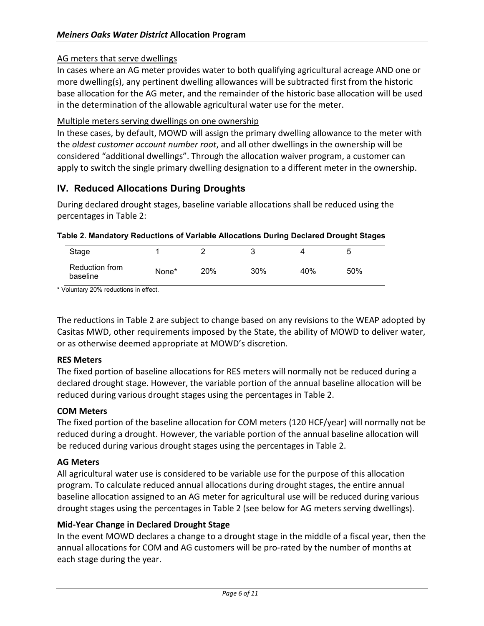### AG meters that serve dwellings

In cases where an AG meter provides water to both qualifying agricultural acreage AND one or more dwelling(s), any pertinent dwelling allowances will be subtracted first from the historic base allocation for the AG meter, and the remainder of the historic base allocation will be used in the determination of the allowable agricultural water use for the meter.

#### Multiple meters serving dwellings on one ownership

In these cases, by default, MOWD will assign the primary dwelling allowance to the meter with the *oldest customer account number root*, and all other dwellings in the ownership will be considered "additional dwellings". Through the allocation waiver program, a customer can apply to switch the single primary dwelling designation to a different meter in the ownership.

# **IV. Reduced Allocations During Droughts**

During declared drought stages, baseline variable allocations shall be reduced using the percentages in Table 2:

| Stage                      |       |     |     |     | ∽<br>w |  |
|----------------------------|-------|-----|-----|-----|--------|--|
| Reduction from<br>baseline | None* | 20% | 30% | 40% | 50%    |  |

#### **Table 2. Mandatory Reductions of Variable Allocations During Declared Drought Stages**

\* Voluntary 20% reductions in effect.

The reductions in Table 2 are subject to change based on any revisions to the WEAP adopted by Casitas MWD, other requirements imposed by the State, the ability of MOWD to deliver water, or as otherwise deemed appropriate at MOWD's discretion.

#### **RES Meters**

The fixed portion of baseline allocations for RES meters will normally not be reduced during a declared drought stage. However, the variable portion of the annual baseline allocation will be reduced during various drought stages using the percentages in Table 2.

#### **COM Meters**

The fixed portion of the baseline allocation for COM meters (120 HCF/year) will normally not be reduced during a drought. However, the variable portion of the annual baseline allocation will be reduced during various drought stages using the percentages in Table 2.

#### **AG Meters**

All agricultural water use is considered to be variable use for the purpose of this allocation program. To calculate reduced annual allocations during drought stages, the entire annual baseline allocation assigned to an AG meter for agricultural use will be reduced during various drought stages using the percentages in Table 2 (see below for AG meters serving dwellings).

#### **Mid-Year Change in Declared Drought Stage**

In the event MOWD declares a change to a drought stage in the middle of a fiscal year, then the annual allocations for COM and AG customers will be pro-rated by the number of months at each stage during the year.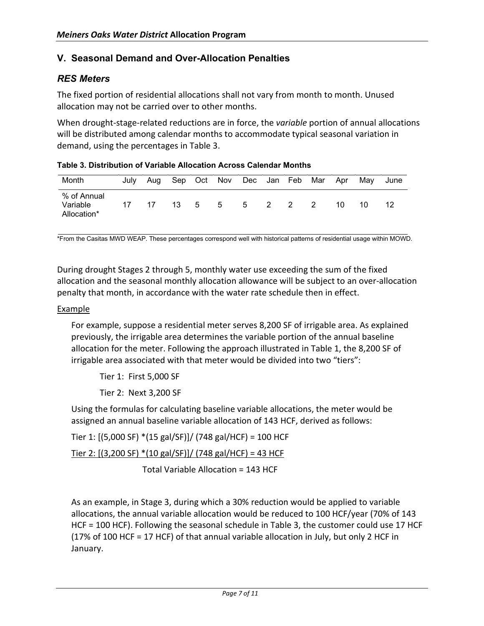# **V. Seasonal Demand and Over-Allocation Penalties**

# *RES Meters*

The fixed portion of residential allocations shall not vary from month to month. Unused allocation may not be carried over to other months.

When drought-stage-related reductions are in force, the *variable* portion of annual allocations will be distributed among calendar months to accommodate typical seasonal variation in demand, using the percentages in Table 3.

| Month                                  | July | Aua |        | Sep Oct Nov Dec Jan Feb Mar |       |  |     | Apr | Mav | June |
|----------------------------------------|------|-----|--------|-----------------------------|-------|--|-----|-----|-----|------|
| % of Annual<br>Variable<br>Allocation* | 17   | -17 | 13 5 5 |                             | 5 2 2 |  | - 2 | 10  | 10  |      |

\*From the Casitas MWD WEAP. These percentages correspond well with historical patterns of residential usage within MOWD.

During drought Stages 2 through 5, monthly water use exceeding the sum of the fixed allocation and the seasonal monthly allocation allowance will be subject to an over-allocation penalty that month, in accordance with the water rate schedule then in effect.

#### Example

For example, suppose a residential meter serves 8,200 SF of irrigable area. As explained previously, the irrigable area determines the variable portion of the annual baseline allocation for the meter. Following the approach illustrated in Table 1, the 8,200 SF of irrigable area associated with that meter would be divided into two "tiers":

Tier 1: First 5,000 SF

Tier 2: Next 3,200 SF

Using the formulas for calculating baseline variable allocations, the meter would be assigned an annual baseline variable allocation of 143 HCF, derived as follows:

Tier 1: [(5,000 SF) \*(15 gal/SF)]/ (748 gal/HCF) = 100 HCF

Tier 2: [(3,200 SF) \*(10 gal/SF)]/ (748 gal/HCF) = 43 HCF

Total Variable Allocation = 143 HCF

As an example, in Stage 3, during which a 30% reduction would be applied to variable allocations, the annual variable allocation would be reduced to 100 HCF/year (70% of 143 HCF = 100 HCF). Following the seasonal schedule in Table 3, the customer could use 17 HCF (17% of 100 HCF = 17 HCF) of that annual variable allocation in July, but only 2 HCF in January.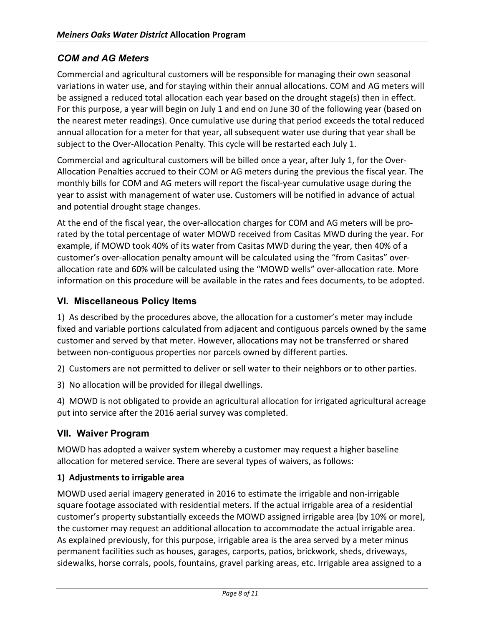# *COM and AG Meters*

Commercial and agricultural customers will be responsible for managing their own seasonal variations in water use, and for staying within their annual allocations. COM and AG meters will be assigned a reduced total allocation each year based on the drought stage(s) then in effect. For this purpose, a year will begin on July 1 and end on June 30 of the following year (based on the nearest meter readings). Once cumulative use during that period exceeds the total reduced annual allocation for a meter for that year, all subsequent water use during that year shall be subject to the Over-Allocation Penalty. This cycle will be restarted each July 1.

Commercial and agricultural customers will be billed once a year, after July 1, for the Over-Allocation Penalties accrued to their COM or AG meters during the previous the fiscal year. The monthly bills for COM and AG meters will report the fiscal-year cumulative usage during the year to assist with management of water use. Customers will be notified in advance of actual and potential drought stage changes.

At the end of the fiscal year, the over-allocation charges for COM and AG meters will be prorated by the total percentage of water MOWD received from Casitas MWD during the year. For example, if MOWD took 40% of its water from Casitas MWD during the year, then 40% of a customer's over-allocation penalty amount will be calculated using the "from Casitas" overallocation rate and 60% will be calculated using the "MOWD wells" over-allocation rate. More information on this procedure will be available in the rates and fees documents, to be adopted.

# **VI. Miscellaneous Policy Items**

1) As described by the procedures above, the allocation for a customer's meter may include fixed and variable portions calculated from adjacent and contiguous parcels owned by the same customer and served by that meter. However, allocations may not be transferred or shared between non-contiguous properties nor parcels owned by different parties.

2) Customers are not permitted to deliver or sell water to their neighbors or to other parties.

3) No allocation will be provided for illegal dwellings.

4) MOWD is not obligated to provide an agricultural allocation for irrigated agricultural acreage put into service after the 2016 aerial survey was completed.

# **VII. Waiver Program**

MOWD has adopted a waiver system whereby a customer may request a higher baseline allocation for metered service. There are several types of waivers, as follows:

#### **1) Adjustments to irrigable area**

MOWD used aerial imagery generated in 2016 to estimate the irrigable and non-irrigable square footage associated with residential meters. If the actual irrigable area of a residential customer's property substantially exceeds the MOWD assigned irrigable area (by 10% or more), the customer may request an additional allocation to accommodate the actual irrigable area. As explained previously, for this purpose, irrigable area is the area served by a meter minus permanent facilities such as houses, garages, carports, patios, brickwork, sheds, driveways, sidewalks, horse corrals, pools, fountains, gravel parking areas, etc. Irrigable area assigned to a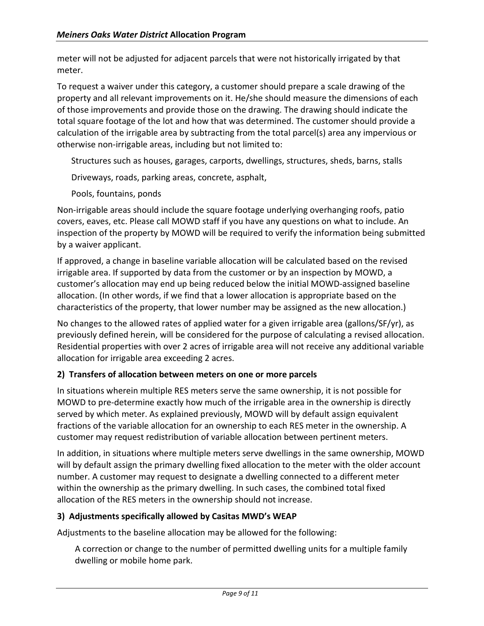meter will not be adjusted for adjacent parcels that were not historically irrigated by that meter.

To request a waiver under this category, a customer should prepare a scale drawing of the property and all relevant improvements on it. He/she should measure the dimensions of each of those improvements and provide those on the drawing. The drawing should indicate the total square footage of the lot and how that was determined. The customer should provide a calculation of the irrigable area by subtracting from the total parcel(s) area any impervious or otherwise non-irrigable areas, including but not limited to:

Structures such as houses, garages, carports, dwellings, structures, sheds, barns, stalls

Driveways, roads, parking areas, concrete, asphalt,

Pools, fountains, ponds

Non-irrigable areas should include the square footage underlying overhanging roofs, patio covers, eaves, etc. Please call MOWD staff if you have any questions on what to include. An inspection of the property by MOWD will be required to verify the information being submitted by a waiver applicant.

If approved, a change in baseline variable allocation will be calculated based on the revised irrigable area. If supported by data from the customer or by an inspection by MOWD, a customer's allocation may end up being reduced below the initial MOWD-assigned baseline allocation. (In other words, if we find that a lower allocation is appropriate based on the characteristics of the property, that lower number may be assigned as the new allocation.)

No changes to the allowed rates of applied water for a given irrigable area (gallons/SF/yr), as previously defined herein, will be considered for the purpose of calculating a revised allocation. Residential properties with over 2 acres of irrigable area will not receive any additional variable allocation for irrigable area exceeding 2 acres.

# **2) Transfers of allocation between meters on one or more parcels**

In situations wherein multiple RES meters serve the same ownership, it is not possible for MOWD to pre-determine exactly how much of the irrigable area in the ownership is directly served by which meter. As explained previously, MOWD will by default assign equivalent fractions of the variable allocation for an ownership to each RES meter in the ownership. A customer may request redistribution of variable allocation between pertinent meters.

In addition, in situations where multiple meters serve dwellings in the same ownership, MOWD will by default assign the primary dwelling fixed allocation to the meter with the older account number. A customer may request to designate a dwelling connected to a different meter within the ownership as the primary dwelling. In such cases, the combined total fixed allocation of the RES meters in the ownership should not increase.

# **3) Adjustments specifically allowed by Casitas MWD's WEAP**

Adjustments to the baseline allocation may be allowed for the following:

A correction or change to the number of permitted dwelling units for a multiple family dwelling or mobile home park.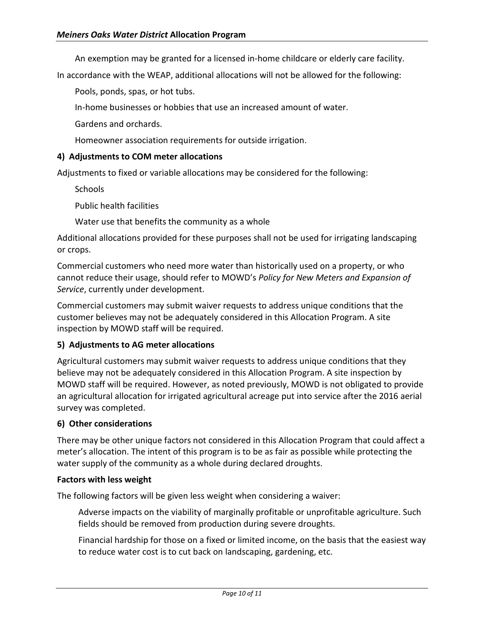An exemption may be granted for a licensed in-home childcare or elderly care facility.

In accordance with the WEAP, additional allocations will not be allowed for the following:

Pools, ponds, spas, or hot tubs.

In-home businesses or hobbies that use an increased amount of water.

Gardens and orchards.

Homeowner association requirements for outside irrigation.

#### **4) Adjustments to COM meter allocations**

Adjustments to fixed or variable allocations may be considered for the following:

**Schools** 

Public health facilities

Water use that benefits the community as a whole

Additional allocations provided for these purposes shall not be used for irrigating landscaping or crops.

Commercial customers who need more water than historically used on a property, or who cannot reduce their usage, should refer to MOWD's *Policy for New Meters and Expansion of Service*, currently under development.

Commercial customers may submit waiver requests to address unique conditions that the customer believes may not be adequately considered in this Allocation Program. A site inspection by MOWD staff will be required.

#### **5) Adjustments to AG meter allocations**

Agricultural customers may submit waiver requests to address unique conditions that they believe may not be adequately considered in this Allocation Program. A site inspection by MOWD staff will be required. However, as noted previously, MOWD is not obligated to provide an agricultural allocation for irrigated agricultural acreage put into service after the 2016 aerial survey was completed.

#### **6) Other considerations**

There may be other unique factors not considered in this Allocation Program that could affect a meter's allocation. The intent of this program is to be as fair as possible while protecting the water supply of the community as a whole during declared droughts.

#### **Factors with less weight**

The following factors will be given less weight when considering a waiver:

Adverse impacts on the viability of marginally profitable or unprofitable agriculture. Such fields should be removed from production during severe droughts.

Financial hardship for those on a fixed or limited income, on the basis that the easiest way to reduce water cost is to cut back on landscaping, gardening, etc.